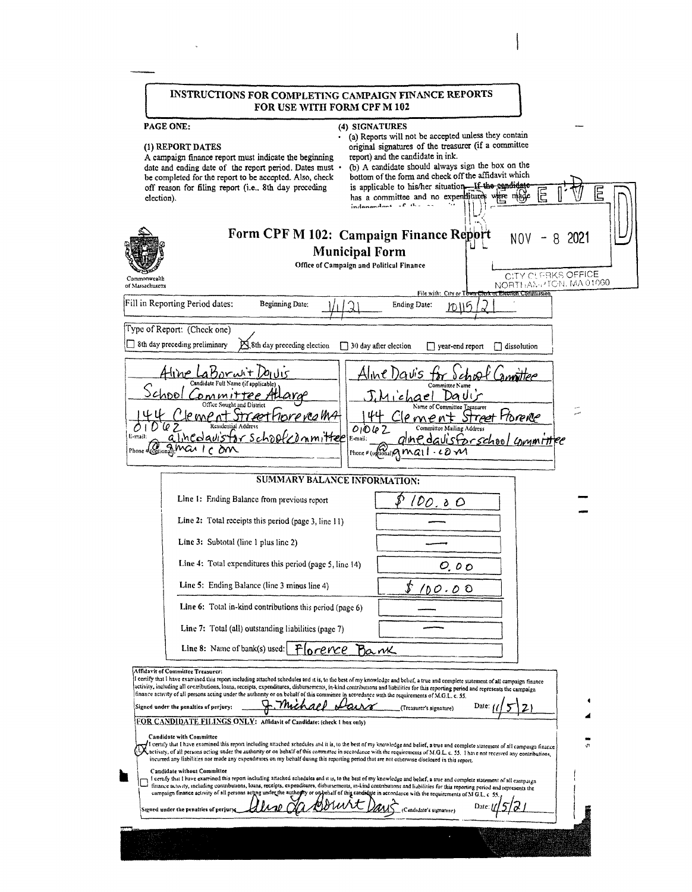|                                  | INSTRUCTIONS FOR COMPLETING CAMPAIGN FINANCE REPORTS<br>FOR USE WITH FORM CPF M 102                                                                                                                                                                                                                                                                                                                                                                                                                                                                                                                                                                                                                                                                                                                                                                                                                                                                                                                                                                                                                                                                                                                                                                                                                                                                                                                                                                                                                                                                                                                                                                                     |      |
|----------------------------------|-------------------------------------------------------------------------------------------------------------------------------------------------------------------------------------------------------------------------------------------------------------------------------------------------------------------------------------------------------------------------------------------------------------------------------------------------------------------------------------------------------------------------------------------------------------------------------------------------------------------------------------------------------------------------------------------------------------------------------------------------------------------------------------------------------------------------------------------------------------------------------------------------------------------------------------------------------------------------------------------------------------------------------------------------------------------------------------------------------------------------------------------------------------------------------------------------------------------------------------------------------------------------------------------------------------------------------------------------------------------------------------------------------------------------------------------------------------------------------------------------------------------------------------------------------------------------------------------------------------------------------------------------------------------------|------|
| election).                       | PAGE ONE:<br>(4) SIGNATURES<br>(a) Reports will not be accepted unless they contain<br>original signatures of the treasurer (if a committee<br>(1) REPORT DATES<br>report) and the candidate in ink.<br>A campaign finance report must indicate the beginning<br>(b) A candidate should always sign the box on the<br>date and ending date of the report period. Dates must .<br>bottom of the form and check off the affidavit which<br>be completed for the report to be accepted. Also, check<br>is applicable to his/her situation. If the eandidate<br>off reason for filing report (i.e., 8th day preceding<br>has a committee and no expenditures were made<br>$indangular + 1$                                                                                                                                                                                                                                                                                                                                                                                                                                                                                                                                                                                                                                                                                                                                                                                                                                                                                                                                                                                  | Ε    |
| Commonwealth<br>of Massachusetts | Form CPF M 102: Campaign Finance Report<br>NOV<br>8<br><b>Municipal Form</b><br>Office of Campaign and Political Finance<br>CITY CUFBKS OFFICE<br>NORTHANN TCN, MA 01060                                                                                                                                                                                                                                                                                                                                                                                                                                                                                                                                                                                                                                                                                                                                                                                                                                                                                                                                                                                                                                                                                                                                                                                                                                                                                                                                                                                                                                                                                                | 2021 |
|                                  | File with: City or Town C<br><del>ierx of Election Commission</del><br>Fill in Reporting Period dates:<br>Beginning Date:<br><b>Ending Date:</b>                                                                                                                                                                                                                                                                                                                                                                                                                                                                                                                                                                                                                                                                                                                                                                                                                                                                                                                                                                                                                                                                                                                                                                                                                                                                                                                                                                                                                                                                                                                        |      |
|                                  | מווחו                                                                                                                                                                                                                                                                                                                                                                                                                                                                                                                                                                                                                                                                                                                                                                                                                                                                                                                                                                                                                                                                                                                                                                                                                                                                                                                                                                                                                                                                                                                                                                                                                                                                   |      |
|                                  | Type of Report: (Check one)<br>8th day preceding preliminary<br>Sth day preceding election                                                                                                                                                                                                                                                                                                                                                                                                                                                                                                                                                                                                                                                                                                                                                                                                                                                                                                                                                                                                                                                                                                                                                                                                                                                                                                                                                                                                                                                                                                                                                                              |      |
|                                  | $\Box$ 30 day after election<br>$\Box$ year-end report<br>dissolution <sup>1</sup>                                                                                                                                                                                                                                                                                                                                                                                                                                                                                                                                                                                                                                                                                                                                                                                                                                                                                                                                                                                                                                                                                                                                                                                                                                                                                                                                                                                                                                                                                                                                                                                      |      |
|                                  |                                                                                                                                                                                                                                                                                                                                                                                                                                                                                                                                                                                                                                                                                                                                                                                                                                                                                                                                                                                                                                                                                                                                                                                                                                                                                                                                                                                                                                                                                                                                                                                                                                                                         |      |
|                                  | Office Sought and District                                                                                                                                                                                                                                                                                                                                                                                                                                                                                                                                                                                                                                                                                                                                                                                                                                                                                                                                                                                                                                                                                                                                                                                                                                                                                                                                                                                                                                                                                                                                                                                                                                              |      |
|                                  | Name of Committee Treasurer<br>Hore realM4<br>radt Harence<br>e me                                                                                                                                                                                                                                                                                                                                                                                                                                                                                                                                                                                                                                                                                                                                                                                                                                                                                                                                                                                                                                                                                                                                                                                                                                                                                                                                                                                                                                                                                                                                                                                                      |      |
| E-mail                           | Residential Address<br>01062<br>Committee Mailing Address<br>for schoolcommittee<br>alinedavis<br>E-mail:<br>Ine.davisforschool committee                                                                                                                                                                                                                                                                                                                                                                                                                                                                                                                                                                                                                                                                                                                                                                                                                                                                                                                                                                                                                                                                                                                                                                                                                                                                                                                                                                                                                                                                                                                               |      |
|                                  | Phone $\sqrt{\omega_{\text{plicial}}M\alpha$<br>Phone # (oglional) $Q$ Mal<br>$\cdot$ cova                                                                                                                                                                                                                                                                                                                                                                                                                                                                                                                                                                                                                                                                                                                                                                                                                                                                                                                                                                                                                                                                                                                                                                                                                                                                                                                                                                                                                                                                                                                                                                              |      |
|                                  | <b>SUMMARY BALANCE INFORMATION:</b>                                                                                                                                                                                                                                                                                                                                                                                                                                                                                                                                                                                                                                                                                                                                                                                                                                                                                                                                                                                                                                                                                                                                                                                                                                                                                                                                                                                                                                                                                                                                                                                                                                     |      |
|                                  | Line 1: Ending Balance from previous report                                                                                                                                                                                                                                                                                                                                                                                                                                                                                                                                                                                                                                                                                                                                                                                                                                                                                                                                                                                                                                                                                                                                                                                                                                                                                                                                                                                                                                                                                                                                                                                                                             |      |
|                                  | 100.00<br>Line 2: Total receipts this period (page 3, line 11)                                                                                                                                                                                                                                                                                                                                                                                                                                                                                                                                                                                                                                                                                                                                                                                                                                                                                                                                                                                                                                                                                                                                                                                                                                                                                                                                                                                                                                                                                                                                                                                                          |      |
|                                  |                                                                                                                                                                                                                                                                                                                                                                                                                                                                                                                                                                                                                                                                                                                                                                                                                                                                                                                                                                                                                                                                                                                                                                                                                                                                                                                                                                                                                                                                                                                                                                                                                                                                         |      |
|                                  | Line 3: Subtotal (line 1 plus line 2)                                                                                                                                                                                                                                                                                                                                                                                                                                                                                                                                                                                                                                                                                                                                                                                                                                                                                                                                                                                                                                                                                                                                                                                                                                                                                                                                                                                                                                                                                                                                                                                                                                   |      |
|                                  | Line 4: Total expenditures this period (page 5, line 14)<br>0.00                                                                                                                                                                                                                                                                                                                                                                                                                                                                                                                                                                                                                                                                                                                                                                                                                                                                                                                                                                                                                                                                                                                                                                                                                                                                                                                                                                                                                                                                                                                                                                                                        |      |
|                                  | Line 5: Ending Balance (line 3 minus line 4)<br>100.OO                                                                                                                                                                                                                                                                                                                                                                                                                                                                                                                                                                                                                                                                                                                                                                                                                                                                                                                                                                                                                                                                                                                                                                                                                                                                                                                                                                                                                                                                                                                                                                                                                  |      |
|                                  | Line 6: Total in-kind contributions this period (page 6)                                                                                                                                                                                                                                                                                                                                                                                                                                                                                                                                                                                                                                                                                                                                                                                                                                                                                                                                                                                                                                                                                                                                                                                                                                                                                                                                                                                                                                                                                                                                                                                                                |      |
|                                  | Line 7: Total (all) outstanding liabilities (page 7)                                                                                                                                                                                                                                                                                                                                                                                                                                                                                                                                                                                                                                                                                                                                                                                                                                                                                                                                                                                                                                                                                                                                                                                                                                                                                                                                                                                                                                                                                                                                                                                                                    |      |
|                                  | Line 8: Name of bank(s) used:<br><b>Parne</b><br>orence                                                                                                                                                                                                                                                                                                                                                                                                                                                                                                                                                                                                                                                                                                                                                                                                                                                                                                                                                                                                                                                                                                                                                                                                                                                                                                                                                                                                                                                                                                                                                                                                                 |      |
| ۳                                | Affidavit of Committee Treasurer:<br>I certify that I have examined this report including attached schedules and it is, to the best of my knowledge and behef, a true and complete statement of all campaign finance<br>activity, including all contributions, loans, receipts, expenditures, disbursements, in-kind contributions and liabilities for this reporting period and represents the campaign<br>finance activity of all persons acting under the authority or on behalf of this committee in accordance with the requirements of M.G.L. e. 55.<br>Date:<br>Signed under the penalties of perjury:<br>(Treasurer's signature)<br>FOR CANDIDATE FILINGS ONLY: Affidavit of Candidate: (check 1 hox only)<br><b>Candidate with Committee</b><br>I certify that I have examined this report including attached schedules and it is, to the best of my knowledge and belief, a true and complete statement of all campaign finance<br>activity, of all persons acting under the authority or on behalf of this committee in accordance with the requirements of M.G.L. c. 55. I have not received any contributions,<br>incurred any liabilities nor made any expenditures on my behalf during this reporting period that are not otherwise disclosed in this report.<br>Candidate without Committee<br>I certify that I have examined this report including attached schedules and it is, to the best of my knowledge and belief, a true and complete statement of all earnpaign<br>finance activity, including contributions, loans, receipts, expenditures, disbursements, in-kind contributions and liabilities for this reporting period and represents the |      |
|                                  | campaign finance activity of all persons acting under the authority or on behalf of this candidate in accordance with the requirements of M G.L. c 55.<br>Date.                                                                                                                                                                                                                                                                                                                                                                                                                                                                                                                                                                                                                                                                                                                                                                                                                                                                                                                                                                                                                                                                                                                                                                                                                                                                                                                                                                                                                                                                                                         |      |
|                                  | Signed under the penalties of perjury<br>Candidate's signature)                                                                                                                                                                                                                                                                                                                                                                                                                                                                                                                                                                                                                                                                                                                                                                                                                                                                                                                                                                                                                                                                                                                                                                                                                                                                                                                                                                                                                                                                                                                                                                                                         |      |
|                                  |                                                                                                                                                                                                                                                                                                                                                                                                                                                                                                                                                                                                                                                                                                                                                                                                                                                                                                                                                                                                                                                                                                                                                                                                                                                                                                                                                                                                                                                                                                                                                                                                                                                                         |      |
|                                  |                                                                                                                                                                                                                                                                                                                                                                                                                                                                                                                                                                                                                                                                                                                                                                                                                                                                                                                                                                                                                                                                                                                                                                                                                                                                                                                                                                                                                                                                                                                                                                                                                                                                         |      |

 $\sim 10^{-10}$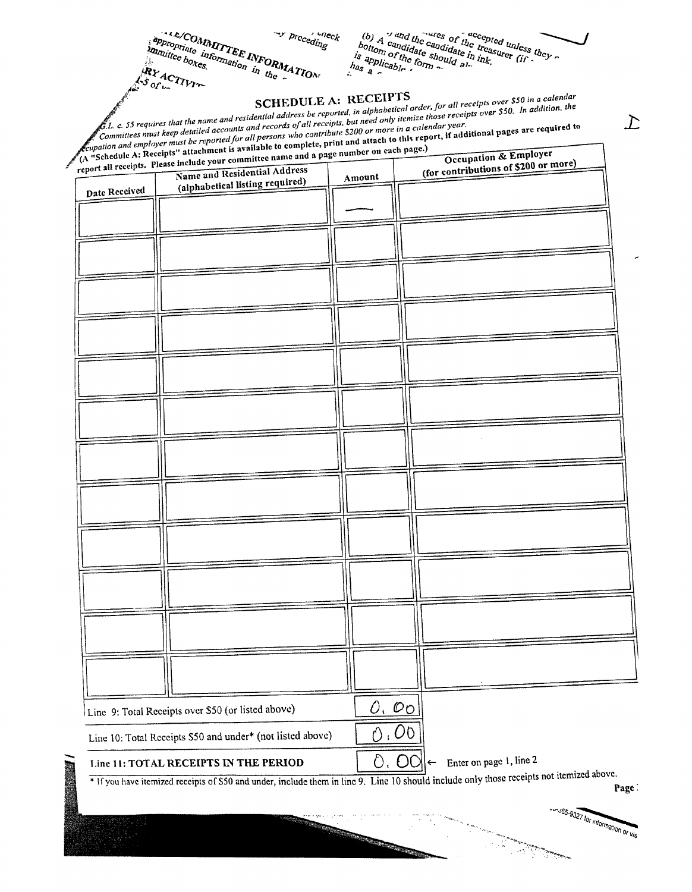(b)  $A'$  and the candidate of decepted unless they continue of the transurer (if  $\frac{d}{dx}$  applicable form  $\frac{d}{dx}$  and  $\frac{d}{dx}$  and  $\frac{d}{dx}$  applicable form  $\frac{d}{dx}$  also  $\frac{d}{dx}$  and  $\frac{d}{dx}$  also  $\frac{d}{dx}$  and  $\$  $h_{\text{as}}$ <sup>appl</sup>

 $,$   $-aeck$ 

prcceding

RY ACTIVITY  $\epsilon$ .  $\epsilon$ . S5 requires that the name and residential address be reported, in alphabetical order, for all receipts over \$50 in a calendar n a cycle of the numerous community of the matter of the control of the matter of the control of the control of<br>Committees must keep detailed accounts and records of all receipts, but need only itemize those receipts over

Commutees must keep actuated accounts and records of an receipts, out need only nemize those receiption and employer must be reported for all persons who contribute \$200 or more in a calendar year. *Coupation and emptoyer must be reported for all persons who contribute 5200 or more in a calendar year.*<br>A "Schedule A: Receipts" attachment is available to complete, print and attach to this report, if additional pages a

ALL/COMMITTEE INFORMATION

appropriate information in the

manuttee boxes

|               | report all receipts. Please include your committee in<br>Name and Residential Address |                                                                                                                                                                                                                                      | (for contributions of \$200 or more)                                                                                                               |
|---------------|---------------------------------------------------------------------------------------|--------------------------------------------------------------------------------------------------------------------------------------------------------------------------------------------------------------------------------------|----------------------------------------------------------------------------------------------------------------------------------------------------|
| Date Received | (alphabetical listing required)                                                       | Amount                                                                                                                                                                                                                               |                                                                                                                                                    |
|               |                                                                                       |                                                                                                                                                                                                                                      |                                                                                                                                                    |
|               |                                                                                       |                                                                                                                                                                                                                                      |                                                                                                                                                    |
|               |                                                                                       |                                                                                                                                                                                                                                      |                                                                                                                                                    |
|               |                                                                                       |                                                                                                                                                                                                                                      |                                                                                                                                                    |
|               |                                                                                       |                                                                                                                                                                                                                                      |                                                                                                                                                    |
|               |                                                                                       |                                                                                                                                                                                                                                      |                                                                                                                                                    |
|               |                                                                                       |                                                                                                                                                                                                                                      |                                                                                                                                                    |
|               |                                                                                       |                                                                                                                                                                                                                                      |                                                                                                                                                    |
|               |                                                                                       |                                                                                                                                                                                                                                      |                                                                                                                                                    |
|               |                                                                                       |                                                                                                                                                                                                                                      |                                                                                                                                                    |
|               |                                                                                       |                                                                                                                                                                                                                                      |                                                                                                                                                    |
|               |                                                                                       |                                                                                                                                                                                                                                      |                                                                                                                                                    |
|               |                                                                                       |                                                                                                                                                                                                                                      |                                                                                                                                                    |
|               |                                                                                       |                                                                                                                                                                                                                                      |                                                                                                                                                    |
|               |                                                                                       |                                                                                                                                                                                                                                      |                                                                                                                                                    |
|               |                                                                                       |                                                                                                                                                                                                                                      |                                                                                                                                                    |
|               |                                                                                       |                                                                                                                                                                                                                                      |                                                                                                                                                    |
|               |                                                                                       |                                                                                                                                                                                                                                      |                                                                                                                                                    |
|               |                                                                                       |                                                                                                                                                                                                                                      |                                                                                                                                                    |
|               |                                                                                       |                                                                                                                                                                                                                                      |                                                                                                                                                    |
|               |                                                                                       |                                                                                                                                                                                                                                      |                                                                                                                                                    |
|               |                                                                                       |                                                                                                                                                                                                                                      |                                                                                                                                                    |
|               |                                                                                       |                                                                                                                                                                                                                                      |                                                                                                                                                    |
|               |                                                                                       |                                                                                                                                                                                                                                      |                                                                                                                                                    |
|               |                                                                                       |                                                                                                                                                                                                                                      |                                                                                                                                                    |
|               |                                                                                       |                                                                                                                                                                                                                                      |                                                                                                                                                    |
|               |                                                                                       |                                                                                                                                                                                                                                      |                                                                                                                                                    |
|               |                                                                                       |                                                                                                                                                                                                                                      |                                                                                                                                                    |
|               |                                                                                       |                                                                                                                                                                                                                                      |                                                                                                                                                    |
|               |                                                                                       |                                                                                                                                                                                                                                      |                                                                                                                                                    |
|               |                                                                                       |                                                                                                                                                                                                                                      |                                                                                                                                                    |
|               |                                                                                       |                                                                                                                                                                                                                                      |                                                                                                                                                    |
|               |                                                                                       |                                                                                                                                                                                                                                      |                                                                                                                                                    |
|               |                                                                                       |                                                                                                                                                                                                                                      |                                                                                                                                                    |
|               |                                                                                       |                                                                                                                                                                                                                                      |                                                                                                                                                    |
|               |                                                                                       |                                                                                                                                                                                                                                      |                                                                                                                                                    |
|               | Line 9: Total Receipts over \$50 (or listed above)                                    |                                                                                                                                                                                                                                      | 0,00                                                                                                                                               |
|               |                                                                                       | Û                                                                                                                                                                                                                                    | .00                                                                                                                                                |
|               | Line 10: Total Receipts \$50 and under* (not listed above)                            |                                                                                                                                                                                                                                      |                                                                                                                                                    |
|               | Line 11: TOTAL RECEIPTS IN THE PERIOD                                                 | δ.                                                                                                                                                                                                                                   | Enter on page 1, line 2<br>OC<br>$\leftarrow$                                                                                                      |
|               |                                                                                       |                                                                                                                                                                                                                                      |                                                                                                                                                    |
|               |                                                                                       |                                                                                                                                                                                                                                      | * If you have itemized receipts of \$50 and under, include them in line 9. Line 10 should include only those receipts not itemized above.<br>Page: |
|               |                                                                                       |                                                                                                                                                                                                                                      |                                                                                                                                                    |
|               |                                                                                       |                                                                                                                                                                                                                                      |                                                                                                                                                    |
|               |                                                                                       |                                                                                                                                                                                                                                      |                                                                                                                                                    |
|               |                                                                                       | <b>Republican Construction Construction Construction Construction Construction Construction Construction Construction Construction Construction Construction Construction Construction Construction Construction Construction Co</b> | -und65-9327 for information or vis                                                                                                                 |

 $\sum$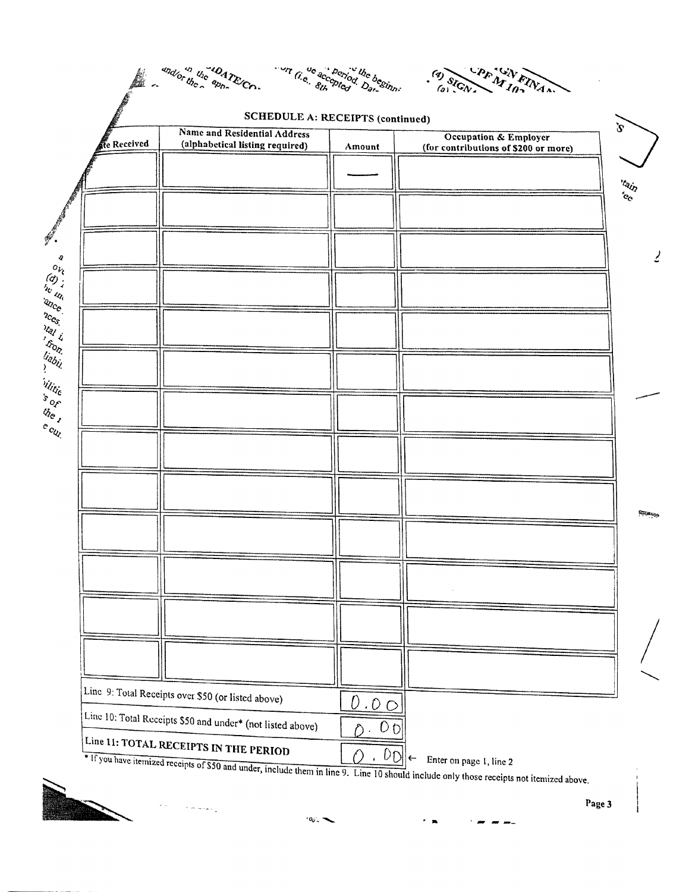|             | <b>SCHEDULE A: RECEIPTS (continued)</b>                         |                                  |                                                                          |
|-------------|-----------------------------------------------------------------|----------------------------------|--------------------------------------------------------------------------|
| te Received | Name and Residential Address<br>(alphabetical listing required) | Amount                           | <b>Occupation &amp; Employer</b><br>(for contributions of \$200 or more) |
|             |                                                                 |                                  |                                                                          |
|             |                                                                 |                                  |                                                                          |
|             |                                                                 |                                  |                                                                          |
|             |                                                                 |                                  |                                                                          |
|             |                                                                 |                                  |                                                                          |
|             |                                                                 |                                  |                                                                          |
|             |                                                                 |                                  |                                                                          |
|             |                                                                 |                                  |                                                                          |
|             |                                                                 |                                  |                                                                          |
|             |                                                                 |                                  |                                                                          |
|             |                                                                 |                                  |                                                                          |
|             |                                                                 |                                  |                                                                          |
|             |                                                                 |                                  |                                                                          |
|             |                                                                 |                                  |                                                                          |
|             |                                                                 |                                  |                                                                          |
|             |                                                                 |                                  |                                                                          |
|             |                                                                 |                                  |                                                                          |
|             |                                                                 |                                  |                                                                          |
|             |                                                                 |                                  |                                                                          |
|             |                                                                 |                                  |                                                                          |
|             |                                                                 |                                  |                                                                          |
|             |                                                                 |                                  |                                                                          |
|             |                                                                 |                                  |                                                                          |
|             | Line 9: Total Receipts over \$50 (or listed above)              | 0.00                             |                                                                          |
|             | Line 10: Total Receipts \$50 and under* (not listed above)      | 0 <sub>0</sub><br>Ď<br>$\bullet$ |                                                                          |



 $100.$ 

Page 3

 $\mathbf{r}^{\mathbf{m}} = \mathbf{r}^{\mathbf{m}} = \mathbf{r}^{\mathbf{m}}$ 

 $\begin{array}{c} \hline \end{array}$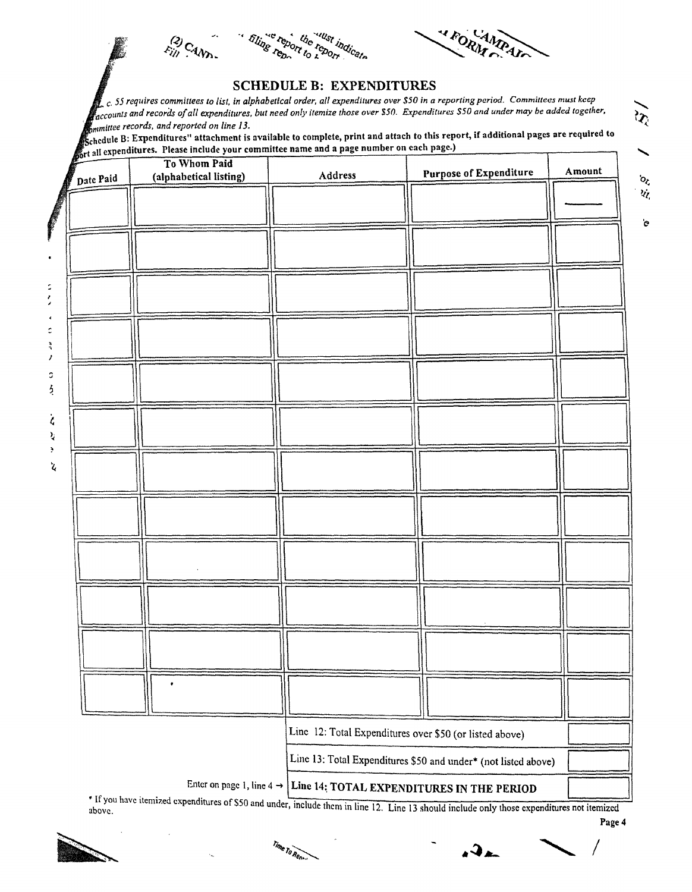$E_{ij}^{(2)}$ CAND





## SCHEDULE B: EXPENDITURES

 $\bar{l}$  c. 55 requires committees to list, in alphabetical order, all expenditures over \$50 in a reporting period. Committees must keep accounts and records of all expenditures, but need only itemize those over \$50. Expenditures \$50 and under may be added together,<br>ommittee records, and reported on line 13. raccounts and records by an experimenter, but need only nonnec was even cash imperium as the manning of the station of the station of the station of the station of the station of the station of the station of the station o

chedule B: Expenditures" attachment is available to complete, print and attach to this report, if additional pages are required to **references** include your committee name and a page number on each page.)

|         |           | To Whom Paid           |                                                                                 |                                                                | Amount |
|---------|-----------|------------------------|---------------------------------------------------------------------------------|----------------------------------------------------------------|--------|
|         | Date Paid | (alphabetical listing) | Address                                                                         | <b>Purpose of Expenditure</b>                                  |        |
|         |           |                        |                                                                                 |                                                                |        |
|         |           |                        |                                                                                 |                                                                |        |
|         |           |                        |                                                                                 |                                                                |        |
|         |           |                        |                                                                                 |                                                                |        |
|         |           |                        |                                                                                 |                                                                |        |
|         |           |                        |                                                                                 |                                                                |        |
|         |           |                        |                                                                                 |                                                                |        |
|         |           |                        |                                                                                 |                                                                |        |
|         |           |                        |                                                                                 |                                                                |        |
|         |           |                        |                                                                                 |                                                                |        |
|         |           |                        |                                                                                 |                                                                |        |
|         |           |                        |                                                                                 |                                                                |        |
| ź       |           |                        |                                                                                 |                                                                |        |
|         |           |                        |                                                                                 |                                                                |        |
| $\zeta$ |           |                        |                                                                                 |                                                                |        |
| ì,<br>y |           |                        |                                                                                 |                                                                |        |
|         |           |                        |                                                                                 |                                                                |        |
| ፟       |           |                        |                                                                                 |                                                                |        |
|         |           |                        |                                                                                 |                                                                |        |
|         |           |                        |                                                                                 |                                                                |        |
|         |           |                        |                                                                                 |                                                                |        |
|         |           |                        |                                                                                 |                                                                |        |
|         |           |                        |                                                                                 |                                                                |        |
|         |           |                        |                                                                                 |                                                                |        |
|         |           |                        |                                                                                 |                                                                |        |
|         |           |                        |                                                                                 |                                                                |        |
|         |           |                        |                                                                                 |                                                                |        |
|         |           |                        |                                                                                 |                                                                |        |
|         |           |                        |                                                                                 |                                                                |        |
|         |           |                        |                                                                                 |                                                                |        |
|         |           |                        |                                                                                 |                                                                |        |
|         |           |                        |                                                                                 |                                                                |        |
|         |           |                        |                                                                                 |                                                                |        |
|         |           |                        |                                                                                 | Line 12: Total Expenditures over \$50 (or listed above)        |        |
|         |           |                        |                                                                                 | Line 13: Total Expenditures \$50 and under* (not listed above) |        |
|         |           |                        |                                                                                 |                                                                |        |
|         |           |                        | Enter on page 1, line $4 \rightarrow$ Line 14: TOTAL EXPENDITURES IN THE PERIOD |                                                                |        |

above. **If you have it you have it have itemized** them in line 12. Line 13 should include only those expenditures not itemized





 $\overline{a}$  $R_{\theta_{D}}$  ...  $\theta$  ...  $\theta$  ...  $\theta$ 

Page 4

 $o_{\zeta}$ 

Ù,

 $\mathbf{\hat{c}}$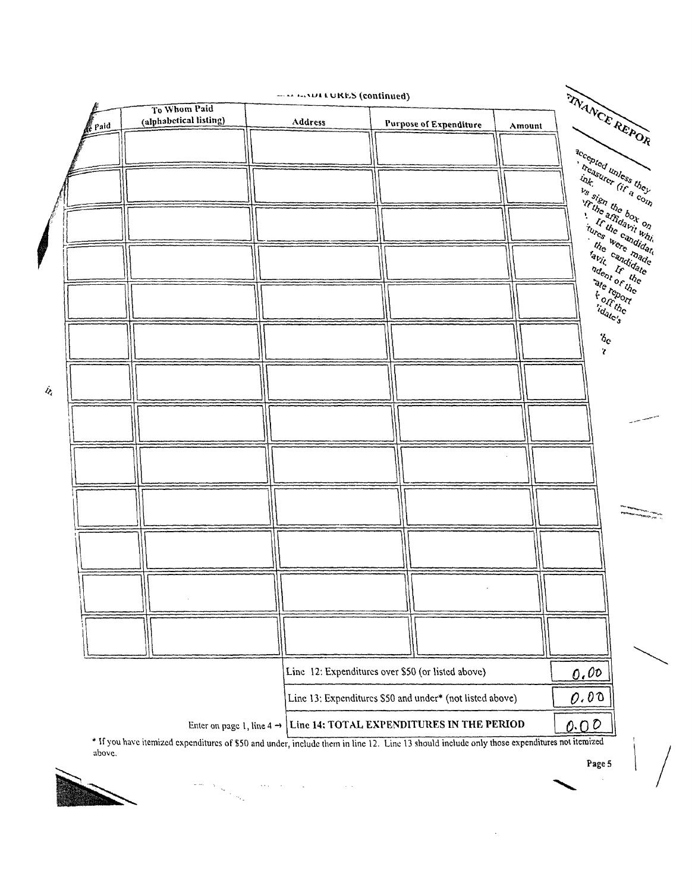|                    |                      |                                                                                                                                             | <b>EXAMPLE URES</b> (continued)                                                 |                               |        |                                        |                                                                                                                                                                                                                                   |
|--------------------|----------------------|---------------------------------------------------------------------------------------------------------------------------------------------|---------------------------------------------------------------------------------|-------------------------------|--------|----------------------------------------|-----------------------------------------------------------------------------------------------------------------------------------------------------------------------------------------------------------------------------------|
|                    | <b><i>e</i></b> Paid | To Whom Paid<br>(alphabetical listing)                                                                                                      | Address                                                                         | <b>Purpose of Expenditure</b> | Amount | TRANCE REPOR                           |                                                                                                                                                                                                                                   |
|                    |                      |                                                                                                                                             |                                                                                 |                               |        |                                        |                                                                                                                                                                                                                                   |
|                    |                      |                                                                                                                                             |                                                                                 |                               |        |                                        | accepted unless they                                                                                                                                                                                                              |
|                    |                      |                                                                                                                                             |                                                                                 |                               |        |                                        | ing the dividend the comptor                                                                                                                                                                                                      |
|                    |                      |                                                                                                                                             |                                                                                 |                               |        |                                        | ala, Isa dhe box on<br>It the candidate                                                                                                                                                                                           |
| Ş                  |                      |                                                                                                                                             |                                                                                 |                               |        | incs were inauded                      | tures were made                                                                                                                                                                                                                   |
|                    |                      |                                                                                                                                             |                                                                                 |                               |        | Forthe                                 | ale report                                                                                                                                                                                                                        |
|                    |                      |                                                                                                                                             |                                                                                 |                               |        | $b_{\rm c}$<br>$\overline{\mathbf{r}}$ |                                                                                                                                                                                                                                   |
| $\mathcal{U}_\ell$ |                      |                                                                                                                                             |                                                                                 |                               |        |                                        |                                                                                                                                                                                                                                   |
|                    |                      |                                                                                                                                             |                                                                                 |                               |        |                                        |                                                                                                                                                                                                                                   |
|                    |                      |                                                                                                                                             |                                                                                 |                               |        |                                        |                                                                                                                                                                                                                                   |
|                    |                      |                                                                                                                                             |                                                                                 |                               |        |                                        | .<br>The comparison of the company of the company of the company of the company of the company of the company of the company of the company of the company of the company of the company of the company of the company of the com |
|                    |                      |                                                                                                                                             |                                                                                 |                               |        |                                        |                                                                                                                                                                                                                                   |
|                    |                      |                                                                                                                                             |                                                                                 |                               |        |                                        |                                                                                                                                                                                                                                   |
|                    |                      |                                                                                                                                             |                                                                                 |                               |        |                                        |                                                                                                                                                                                                                                   |
|                    |                      |                                                                                                                                             |                                                                                 |                               |        |                                        |                                                                                                                                                                                                                                   |
|                    |                      |                                                                                                                                             | Line 12: Expenditures over \$50 (or listed above)                               |                               |        | 0.00                                   |                                                                                                                                                                                                                                   |
|                    |                      |                                                                                                                                             | Line 13: Expenditures \$50 and under* (not listed above)                        |                               |        | 0.00                                   |                                                                                                                                                                                                                                   |
|                    |                      |                                                                                                                                             | Enter on page 1, line $4 \rightarrow$ Line 14: TOTAL EXPENDITURES IN THE PERIOD |                               |        | 0.00                                   |                                                                                                                                                                                                                                   |
|                    | above                | * If you have itemized expenditures of \$50 and under, include them in line 12. Line 13 should include only those expenditures not itemized |                                                                                 |                               |        |                                        |                                                                                                                                                                                                                                   |

 $\mathcal{L}_{\text{max}}$  and  $\mathcal{L}_{\text{max}}$ 

 $\mathcal{A}$ 



 $\label{eq:1} \begin{aligned} \mathcal{L}^{(2)}(t) &= \mathcal{L}^{(2)}(t) \mathcal{L}^{(2)}(t) \\ &= \mathcal{L}^{(2)}(t) \mathcal{L}^{(2)}(t) \\ &= \mathcal{L}^{(2)}(t) \mathcal{L}^{(2)}(t) \end{aligned}$ 

Page 5

 $\sim$   $\sim$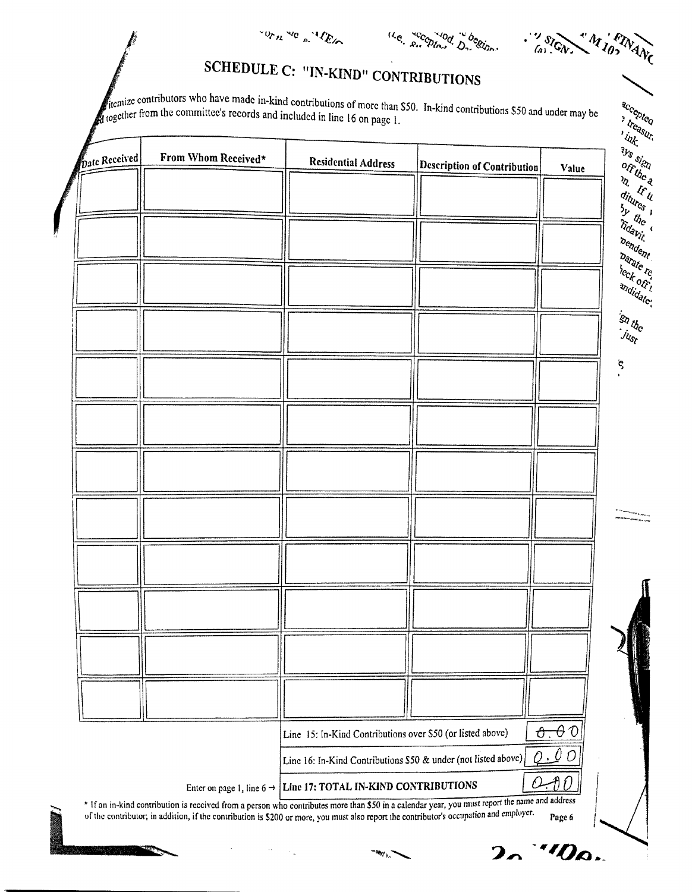

**M** los **FINANC** SIGN.  $\frac{3}{2}$ 

## SCHEDULE C: "IN-KIND" CONTRIBUTIONS

stremize contributors who have made in-kind contributions of more than \$50. In-kind contributions \$50 and under may be together from the committee's records and included in line 16 on page 1.

| <b>Pate Received</b> | From Whom Received* | <b>Residential Address</b>                                                 | <b>Description of Contribution</b>                                                                                                                  | $\frac{1}{2}$<br><b>Sys sign</b><br>Value |
|----------------------|---------------------|----------------------------------------------------------------------------|-----------------------------------------------------------------------------------------------------------------------------------------------------|-------------------------------------------|
|                      |                     |                                                                            |                                                                                                                                                     | m Wu                                      |
|                      |                     |                                                                            |                                                                                                                                                     | ditures 1<br>$\frac{3y}{4}$               |
|                      |                     |                                                                            |                                                                                                                                                     | Tidavit.<br>bendent                       |
|                      |                     |                                                                            |                                                                                                                                                     | <b>Darate</b> re                          |
|                      |                     |                                                                            |                                                                                                                                                     | heck of i<br>andidate:                    |
|                      |                     |                                                                            |                                                                                                                                                     | isa uhc                                   |
|                      |                     |                                                                            |                                                                                                                                                     | $j_{l_{\delta_l}}$                        |
|                      |                     |                                                                            |                                                                                                                                                     | ę                                         |
|                      |                     |                                                                            |                                                                                                                                                     |                                           |
|                      |                     |                                                                            |                                                                                                                                                     |                                           |
|                      |                     |                                                                            |                                                                                                                                                     |                                           |
|                      |                     |                                                                            |                                                                                                                                                     |                                           |
|                      |                     |                                                                            |                                                                                                                                                     |                                           |
|                      |                     |                                                                            |                                                                                                                                                     |                                           |
|                      |                     |                                                                            |                                                                                                                                                     |                                           |
|                      |                     |                                                                            |                                                                                                                                                     |                                           |
|                      |                     |                                                                            |                                                                                                                                                     |                                           |
|                      |                     |                                                                            |                                                                                                                                                     |                                           |
|                      |                     |                                                                            |                                                                                                                                                     |                                           |
|                      |                     |                                                                            |                                                                                                                                                     |                                           |
|                      |                     |                                                                            |                                                                                                                                                     |                                           |
|                      |                     |                                                                            |                                                                                                                                                     |                                           |
|                      |                     | Line 15: In-Kind Contributions over \$50 (or listed above)                 |                                                                                                                                                     | $\theta$ . $\theta$ 0                     |
|                      |                     | Line 16: In-Kind Contributions \$50 & under (not listed above)             |                                                                                                                                                     | 0.00                                      |
|                      |                     | Enter on page 1, line $6 \rightarrow$ Line 17: TOTAL IN-KIND CONTRIBUTIONS | O<br>* If an in-kind contribution is received from a person who contributes more than \$50 in a calendar year, you must report the name and address | A O                                       |